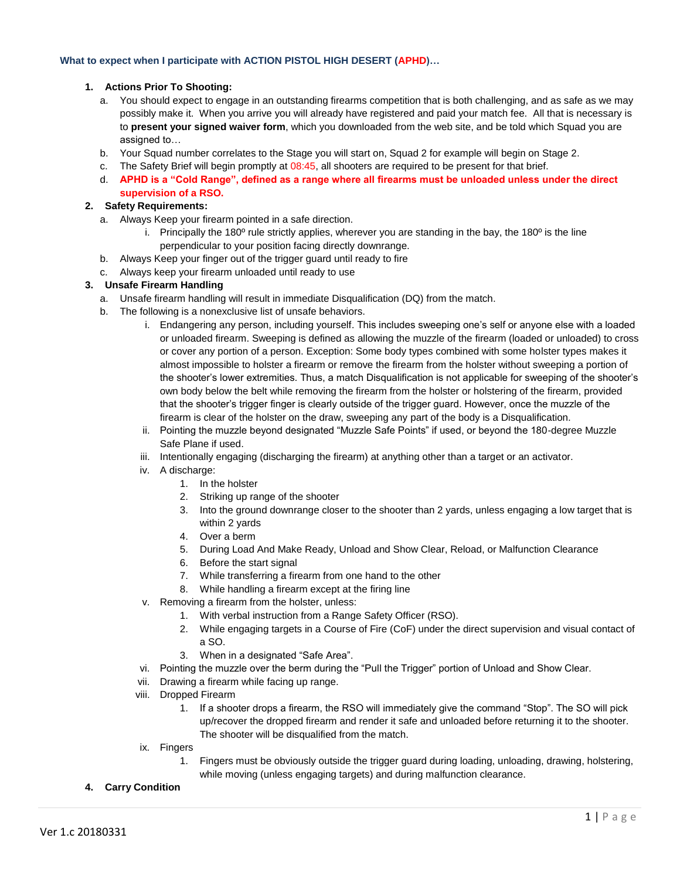### **What to expect when I participate with ACTION PISTOL HIGH DESERT (APHD)…**

#### **1. Actions Prior To Shooting:**

- a. You should expect to engage in an outstanding firearms competition that is both challenging, and as safe as we may possibly make it. When you arrive you will already have registered and paid your match fee. All that is necessary is to **present your signed waiver form**, which you downloaded from the web site, and be told which Squad you are assigned to…
- b. Your Squad number correlates to the Stage you will start on, Squad 2 for example will begin on Stage 2.
- c. The Safety Brief will begin promptly at 08:45, all shooters are required to be present for that brief.
- d. **APHD is a "Cold Range", defined as a range where all firearms must be unloaded unless under the direct supervision of a RSO.**

## **2. Safety Requirements:**

- a. Always Keep your firearm pointed in a safe direction.
	- i. Principally the 180 $^{\circ}$  rule strictly applies, wherever you are standing in the bay, the 180 $^{\circ}$  is the line perpendicular to your position facing directly downrange.
- b. Always Keep your finger out of the trigger guard until ready to fire
- c. Always keep your firearm unloaded until ready to use

### **3. Unsafe Firearm Handling**

- a. Unsafe firearm handling will result in immediate Disqualification (DQ) from the match.
- b. The following is a nonexclusive list of unsafe behaviors.
	- i. Endangering any person, including yourself. This includes sweeping one's self or anyone else with a loaded or unloaded firearm. Sweeping is defined as allowing the muzzle of the firearm (loaded or unloaded) to cross or cover any portion of a person. Exception: Some body types combined with some holster types makes it almost impossible to holster a firearm or remove the firearm from the holster without sweeping a portion of the shooter's lower extremities. Thus, a match Disqualification is not applicable for sweeping of the shooter's own body below the belt while removing the firearm from the holster or holstering of the firearm, provided that the shooter's trigger finger is clearly outside of the trigger guard. However, once the muzzle of the firearm is clear of the holster on the draw, sweeping any part of the body is a Disqualification.
	- ii. Pointing the muzzle beyond designated "Muzzle Safe Points" if used, or beyond the 180-degree Muzzle Safe Plane if used.
	- iii. Intentionally engaging (discharging the firearm) at anything other than a target or an activator.
	- iv. A discharge:
		- 1. In the holster
		- 2. Striking up range of the shooter
		- 3. Into the ground downrange closer to the shooter than 2 yards, unless engaging a low target that is within 2 yards
		- 4. Over a berm
		- 5. During Load And Make Ready, Unload and Show Clear, Reload, or Malfunction Clearance
		- 6. Before the start signal
		- 7. While transferring a firearm from one hand to the other
		- 8. While handling a firearm except at the firing line
	- v. Removing a firearm from the holster, unless:
		- 1. With verbal instruction from a Range Safety Officer (RSO).
		- 2. While engaging targets in a Course of Fire (CoF) under the direct supervision and visual contact of a SO.
		- 3. When in a designated "Safe Area".
	- vi. Pointing the muzzle over the berm during the "Pull the Trigger" portion of Unload and Show Clear.
	- vii. Drawing a firearm while facing up range.
	- viii. Dropped Firearm
		- 1. If a shooter drops a firearm, the RSO will immediately give the command "Stop". The SO will pick up/recover the dropped firearm and render it safe and unloaded before returning it to the shooter. The shooter will be disqualified from the match.
	- ix. Fingers
		- 1. Fingers must be obviously outside the trigger guard during loading, unloading, drawing, holstering, while moving (unless engaging targets) and during malfunction clearance.
- **4. Carry Condition**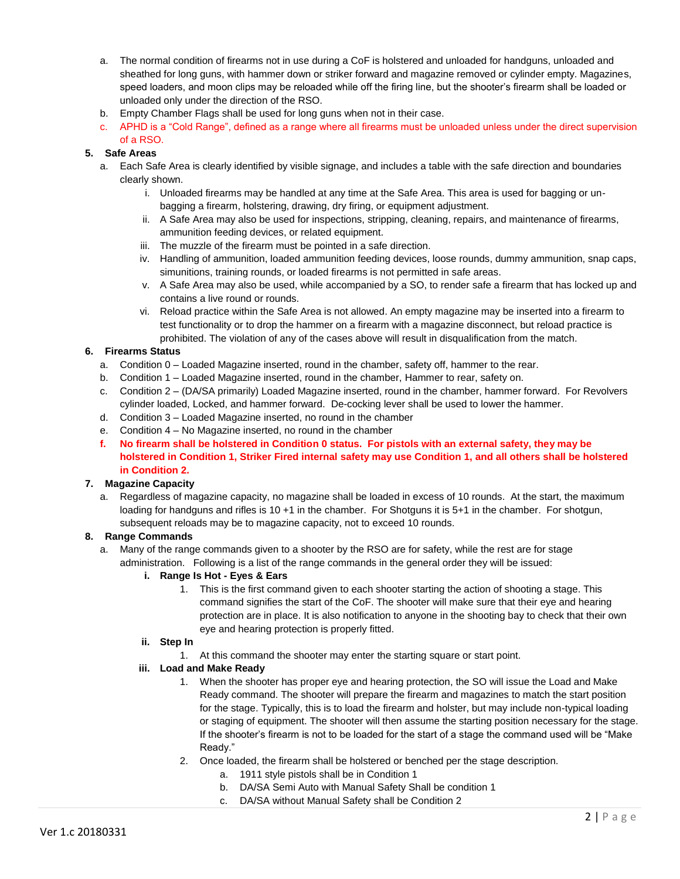- a. The normal condition of firearms not in use during a CoF is holstered and unloaded for handguns, unloaded and sheathed for long guns, with hammer down or striker forward and magazine removed or cylinder empty. Magazines, speed loaders, and moon clips may be reloaded while off the firing line, but the shooter's firearm shall be loaded or unloaded only under the direction of the RSO.
- b. Empty Chamber Flags shall be used for long guns when not in their case.
- c. APHD is a "Cold Range", defined as a range where all firearms must be unloaded unless under the direct supervision of a RSO.

# **5. Safe Areas**

- a. Each Safe Area is clearly identified by visible signage, and includes a table with the safe direction and boundaries clearly shown.
	- i. Unloaded firearms may be handled at any time at the Safe Area. This area is used for bagging or unbagging a firearm, holstering, drawing, dry firing, or equipment adjustment.
	- ii. A Safe Area may also be used for inspections, stripping, cleaning, repairs, and maintenance of firearms, ammunition feeding devices, or related equipment.
	- iii. The muzzle of the firearm must be pointed in a safe direction.
	- iv. Handling of ammunition, loaded ammunition feeding devices, loose rounds, dummy ammunition, snap caps, simunitions, training rounds, or loaded firearms is not permitted in safe areas.
	- v. A Safe Area may also be used, while accompanied by a SO, to render safe a firearm that has locked up and contains a live round or rounds.
	- vi. Reload practice within the Safe Area is not allowed. An empty magazine may be inserted into a firearm to test functionality or to drop the hammer on a firearm with a magazine disconnect, but reload practice is prohibited. The violation of any of the cases above will result in disqualification from the match.

# **6. Firearms Status**

- a. Condition 0 Loaded Magazine inserted, round in the chamber, safety off, hammer to the rear.
- b. Condition 1 Loaded Magazine inserted, round in the chamber, Hammer to rear, safety on.
- c. Condition 2 (DA/SA primarily) Loaded Magazine inserted, round in the chamber, hammer forward. For Revolvers cylinder loaded, Locked, and hammer forward. De-cocking lever shall be used to lower the hammer.
- d. Condition 3 Loaded Magazine inserted, no round in the chamber
- e. Condition 4 No Magazine inserted, no round in the chamber
- **f. No firearm shall be holstered in Condition 0 status. For pistols with an external safety, they may be holstered in Condition 1, Striker Fired internal safety may use Condition 1, and all others shall be holstered in Condition 2.**

# **7. Magazine Capacity**

a. Regardless of magazine capacity, no magazine shall be loaded in excess of 10 rounds. At the start, the maximum loading for handguns and rifles is 10 +1 in the chamber. For Shotguns it is 5+1 in the chamber. For shotgun, subsequent reloads may be to magazine capacity, not to exceed 10 rounds.

# **8. Range Commands**

a. Many of the range commands given to a shooter by the RSO are for safety, while the rest are for stage administration. Following is a list of the range commands in the general order they will be issued:

# **i. Range Is Hot - Eyes & Ears**

- 1. This is the first command given to each shooter starting the action of shooting a stage. This command signifies the start of the CoF. The shooter will make sure that their eye and hearing protection are in place. It is also notification to anyone in the shooting bay to check that their own eye and hearing protection is properly fitted.
- **ii. Step In**
	- 1. At this command the shooter may enter the starting square or start point.

# **iii. Load and Make Ready**

- 1. When the shooter has proper eye and hearing protection, the SO will issue the Load and Make Ready command. The shooter will prepare the firearm and magazines to match the start position for the stage. Typically, this is to load the firearm and holster, but may include non-typical loading or staging of equipment. The shooter will then assume the starting position necessary for the stage. If the shooter's firearm is not to be loaded for the start of a stage the command used will be "Make Ready."
- 2. Once loaded, the firearm shall be holstered or benched per the stage description.
	- a. 1911 style pistols shall be in Condition 1
	- b. DA/SA Semi Auto with Manual Safety Shall be condition 1
	- c. DA/SA without Manual Safety shall be Condition 2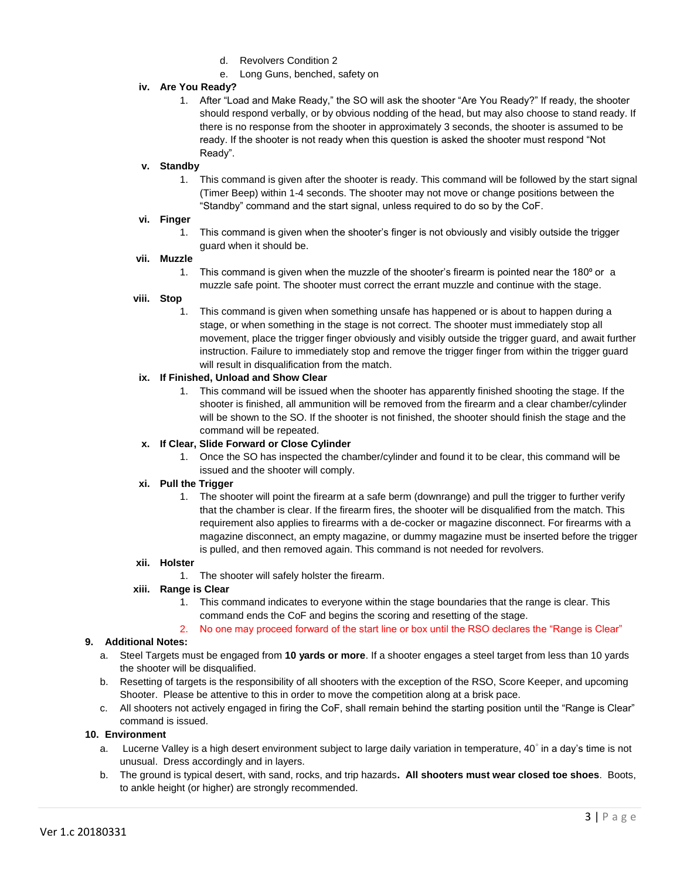- d. Revolvers Condition 2
- e. Long Guns, benched, safety on

# **iv. Are You Ready?**

1. After "Load and Make Ready," the SO will ask the shooter "Are You Ready?" If ready, the shooter should respond verbally, or by obvious nodding of the head, but may also choose to stand ready. If there is no response from the shooter in approximately 3 seconds, the shooter is assumed to be ready. If the shooter is not ready when this question is asked the shooter must respond "Not Ready".

## **v. Standby**

1. This command is given after the shooter is ready. This command will be followed by the start signal (Timer Beep) within 1-4 seconds. The shooter may not move or change positions between the "Standby" command and the start signal, unless required to do so by the CoF.

### **vi. Finger**

1. This command is given when the shooter's finger is not obviously and visibly outside the trigger guard when it should be.

### **vii. Muzzle**

1. This command is given when the muzzle of the shooter's firearm is pointed near the  $180^{\circ}$  or a muzzle safe point. The shooter must correct the errant muzzle and continue with the stage.

## **viii. Stop**

1. This command is given when something unsafe has happened or is about to happen during a stage, or when something in the stage is not correct. The shooter must immediately stop all movement, place the trigger finger obviously and visibly outside the trigger guard, and await further instruction. Failure to immediately stop and remove the trigger finger from within the trigger guard will result in disqualification from the match.

### **ix. If Finished, Unload and Show Clear**

1. This command will be issued when the shooter has apparently finished shooting the stage. If the shooter is finished, all ammunition will be removed from the firearm and a clear chamber/cylinder will be shown to the SO. If the shooter is not finished, the shooter should finish the stage and the command will be repeated.

## **x. If Clear, Slide Forward or Close Cylinder**

1. Once the SO has inspected the chamber/cylinder and found it to be clear, this command will be issued and the shooter will comply.

#### **xi. Pull the Trigger**

1. The shooter will point the firearm at a safe berm (downrange) and pull the trigger to further verify that the chamber is clear. If the firearm fires, the shooter will be disqualified from the match. This requirement also applies to firearms with a de-cocker or magazine disconnect. For firearms with a magazine disconnect, an empty magazine, or dummy magazine must be inserted before the trigger is pulled, and then removed again. This command is not needed for revolvers.

#### **xii. Holster**

1. The shooter will safely holster the firearm.

# **xiii. Range is Clear**

- 1. This command indicates to everyone within the stage boundaries that the range is clear. This command ends the CoF and begins the scoring and resetting of the stage.
- 2. No one may proceed forward of the start line or box until the RSO declares the "Range is Clear"

#### **9. Additional Notes:**

- a. Steel Targets must be engaged from **10 yards or more**. If a shooter engages a steel target from less than 10 yards the shooter will be disqualified.
- b. Resetting of targets is the responsibility of all shooters with the exception of the RSO, Score Keeper, and upcoming Shooter. Please be attentive to this in order to move the competition along at a brisk pace.
- c. All shooters not actively engaged in firing the CoF, shall remain behind the starting position until the "Range is Clear" command is issued.

#### **10. Environment**

- a. Lucerne Valley is a high desert environment subject to large daily variation in temperature, 40° in a day's time is not unusual. Dress accordingly and in layers.
- b. The ground is typical desert, with sand, rocks, and trip hazards**. All shooters must wear closed toe shoes**. Boots, to ankle height (or higher) are strongly recommended.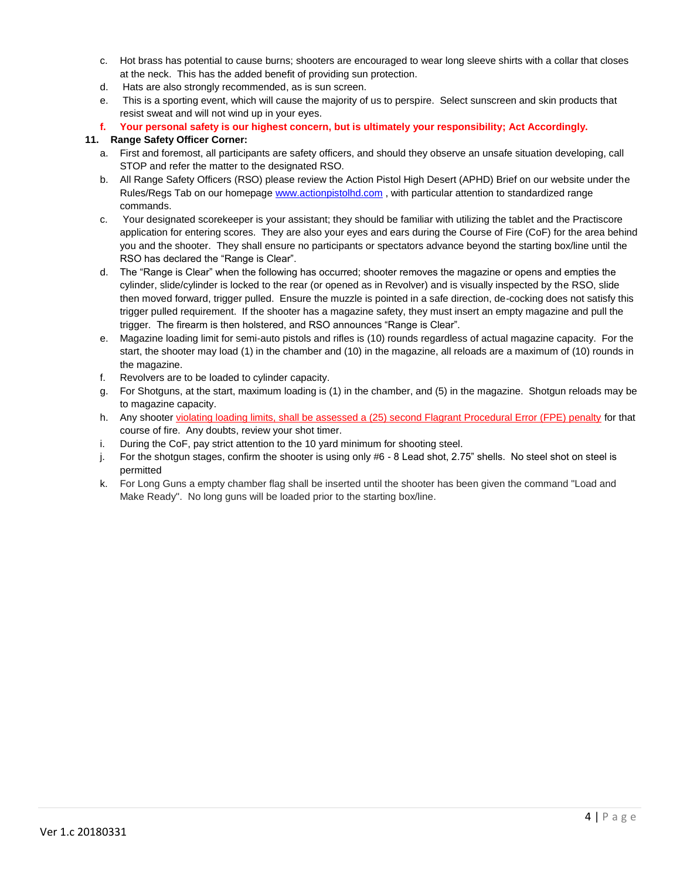- c. Hot brass has potential to cause burns; shooters are encouraged to wear long sleeve shirts with a collar that closes at the neck. This has the added benefit of providing sun protection.
- d. Hats are also strongly recommended, as is sun screen.
- e. This is a sporting event, which will cause the majority of us to perspire. Select sunscreen and skin products that resist sweat and will not wind up in your eyes.
- **f. Your personal safety is our highest concern, but is ultimately your responsibility; Act Accordingly.**

# **11. Range Safety Officer Corner:**

- a. First and foremost, all participants are safety officers, and should they observe an unsafe situation developing, call STOP and refer the matter to the designated RSO.
- b. All Range Safety Officers (RSO) please review the Action Pistol High Desert (APHD) Brief on our website under the Rules/Regs Tab on our homepage [www.actionpistolhd.com](http://www.actionpistolhd.com/) , with particular attention to standardized range commands.
- c. Your designated scorekeeper is your assistant; they should be familiar with utilizing the tablet and the Practiscore application for entering scores. They are also your eyes and ears during the Course of Fire (CoF) for the area behind you and the shooter. They shall ensure no participants or spectators advance beyond the starting box/line until the RSO has declared the "Range is Clear".
- d. The "Range is Clear" when the following has occurred; shooter removes the magazine or opens and empties the cylinder, slide/cylinder is locked to the rear (or opened as in Revolver) and is visually inspected by the RSO, slide then moved forward, trigger pulled. Ensure the muzzle is pointed in a safe direction, de-cocking does not satisfy this trigger pulled requirement. If the shooter has a magazine safety, they must insert an empty magazine and pull the trigger. The firearm is then holstered, and RSO announces "Range is Clear".
- e. Magazine loading limit for semi-auto pistols and rifles is (10) rounds regardless of actual magazine capacity. For the start, the shooter may load (1) in the chamber and (10) in the magazine, all reloads are a maximum of (10) rounds in the magazine.
- f. Revolvers are to be loaded to cylinder capacity.
- g. For Shotguns, at the start, maximum loading is (1) in the chamber, and (5) in the magazine. Shotgun reloads may be to magazine capacity.
- h. Any shooter violating loading limits, shall be assessed a (25) second Flagrant Procedural Error (FPE) penalty for that course of fire. Any doubts, review your shot timer.
- i. During the CoF, pay strict attention to the 10 yard minimum for shooting steel.
- j. For the shotgun stages, confirm the shooter is using only #6 8 Lead shot, 2.75" shells. No steel shot on steel is permitted
- k. For Long Guns a empty chamber flag shall be inserted until the shooter has been given the command "Load and Make Ready". No long guns will be loaded prior to the starting box/line.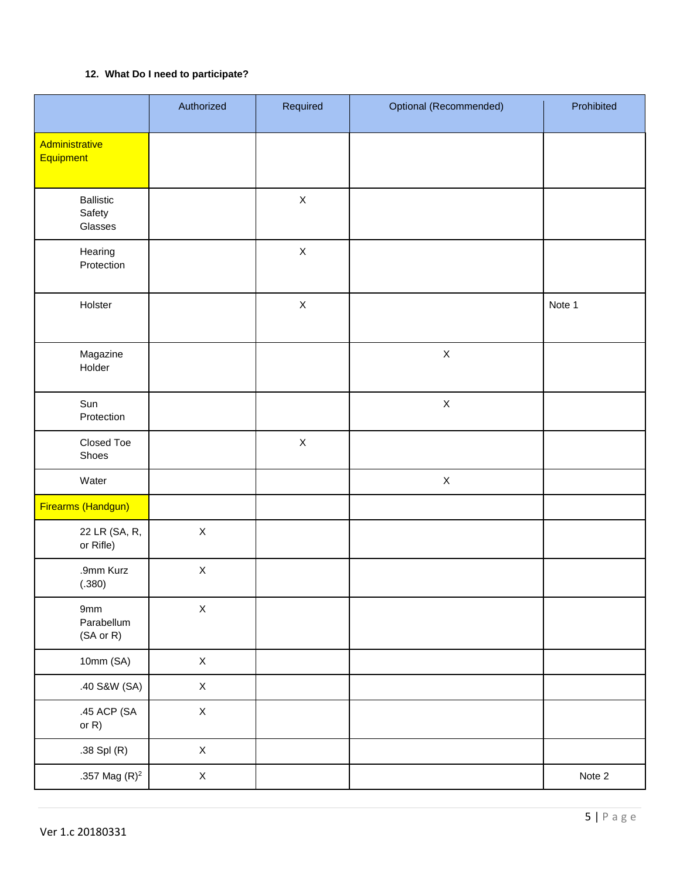# **12. What Do I need to participate?**

|                                           | Authorized  | Required    | Optional (Recommended) | Prohibited |
|-------------------------------------------|-------------|-------------|------------------------|------------|
| Administrative<br>Equipment               |             |             |                        |            |
| <b>Ballistic</b><br>Safety<br>Glasses     |             | $\mathsf X$ |                        |            |
| Hearing<br>Protection                     |             | $\mathsf X$ |                        |            |
| Holster                                   |             | $\mathsf X$ |                        | Note 1     |
| Magazine<br>Holder                        |             |             | $\mathsf X$            |            |
| Sun<br>Protection                         |             |             | $\mathsf X$            |            |
| Closed Toe<br>Shoes                       |             | $\mathsf X$ |                        |            |
| Water                                     |             |             | $\mathsf X$            |            |
| Firearms (Handgun)                        |             |             |                        |            |
| 22 LR (SA, R,<br>or Rifle)                | $\mathsf X$ |             |                        |            |
| .9mm Kurz<br>(.380)                       | $\mathsf X$ |             |                        |            |
| 9mm<br>Parabellum<br>$(SA \text{ or } R)$ | $\mathsf X$ |             |                        |            |
| 10mm (SA)                                 | $\mathsf X$ |             |                        |            |
| .40 S&W (SA)                              | $\mathsf X$ |             |                        |            |
| .45 ACP (SA<br>or $R$ )                   | $\mathsf X$ |             |                        |            |
| .38 Spl (R)                               | $\mathsf X$ |             |                        |            |
| .357 Mag $(R)^2$                          | $\mathsf X$ |             |                        | Note 2     |